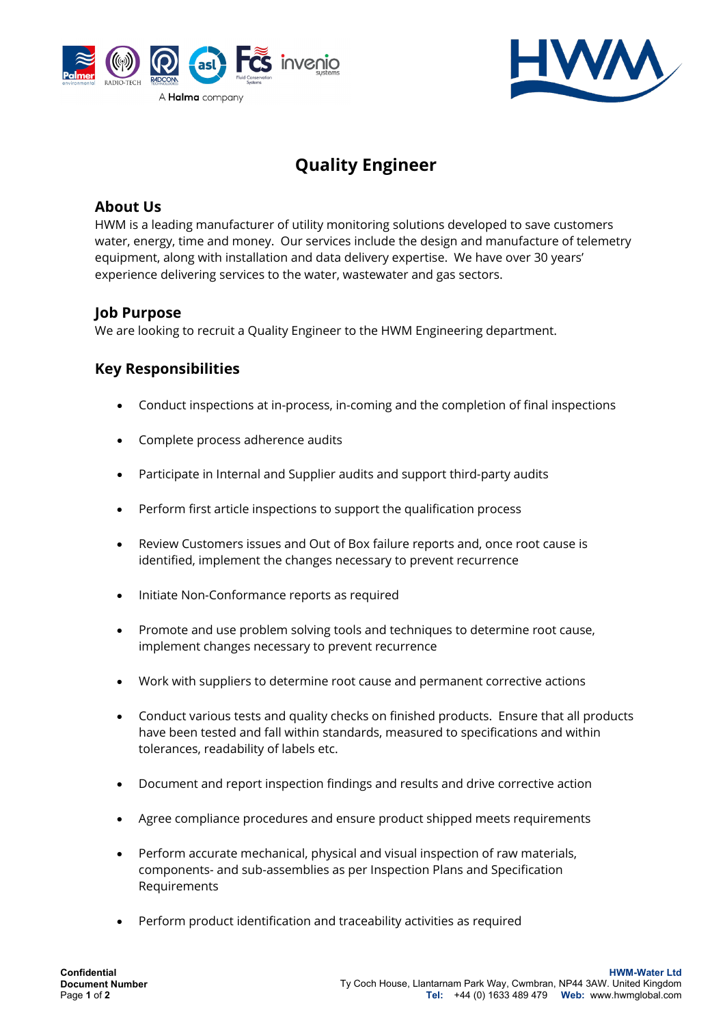



# **Quality Engineer**

#### **About Us**

HWM is a leading manufacturer of utility monitoring solutions developed to save customers water, energy, time and money. Our services include the design and manufacture of telemetry equipment, along with installation and data delivery expertise. We have over 30 years' experience delivering services to the water, wastewater and gas sectors.

## **Job Purpose**

We are looking to recruit a Quality Engineer to the HWM Engineering department.

## **Key Responsibilities**

- Conduct inspections at in-process, in-coming and the completion of final inspections
- Complete process adherence audits
- Participate in Internal and Supplier audits and support third-party audits
- Perform first article inspections to support the qualification process
- Review Customers issues and Out of Box failure reports and, once root cause is identified, implement the changes necessary to prevent recurrence
- Initiate Non-Conformance reports as required
- Promote and use problem solving tools and techniques to determine root cause, implement changes necessary to prevent recurrence
- Work with suppliers to determine root cause and permanent corrective actions
- Conduct various tests and quality checks on finished products. Ensure that all products have been tested and fall within standards, measured to specifications and within tolerances, readability of labels etc.
- Document and report inspection findings and results and drive corrective action
- Agree compliance procedures and ensure product shipped meets requirements
- Perform accurate mechanical, physical and visual inspection of raw materials, components- and sub-assemblies as per Inspection Plans and Specification Requirements
- Perform product identification and traceability activities as required